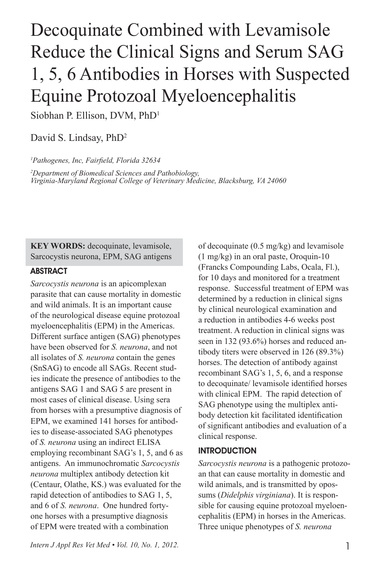# Decoquinate Combined with Levamisole Reduce the Clinical Signs and Serum SAG 1, 5, 6 Antibodies in Horses with Suspected Equine Protozoal Myeloencephalitis

Siobhan P. Ellison, DVM, PhD1

David S. Lindsay, PhD<sup>2</sup>

*1 Pathogenes, Inc, Fairfield, Florida 32634 2 Department of Biomedical Sciences and Pathobiology, Virginia-Maryland Regional College of Veterinary Medicine, Blacksburg, VA 24060*

**KEY WORDS:** decoquinate, levamisole, Sarcocystis neurona, EPM, SAG antigens

## ABSTRACT

*Sarcocystis neurona* is an apicomplexan parasite that can cause mortality in domestic and wild animals. It is an important cause of the neurological disease equine protozoal myeloencephalitis (EPM) in the Americas. Different surface antigen (SAG) phenotypes have been observed for *S. neurona*, and not all isolates of *S. neurona* contain the genes (SnSAG) to encode all SAGs. Recent studies indicate the presence of antibodies to the antigens SAG 1 and SAG 5 are present in most cases of clinical disease. Using sera from horses with a presumptive diagnosis of EPM, we examined 141 horses for antibodies to disease-associated SAG phenotypes of *S. neurona* using an indirect ELISA employing recombinant SAG's 1, 5, and 6 as antigens. An immunochromatic *Sarcocystis neurona* multiplex antibody detection kit (Centaur, Olathe, KS.) was evaluated for the rapid detection of antibodies to SAG 1, 5, and 6 of *S. neurona*. One hundred fortyone horses with a presumptive diagnosis of EPM were treated with a combination

of decoquinate (0.5 mg/kg) and levamisole (1 mg/kg) in an oral paste, Oroquin-10 (Francks Compounding Labs, Ocala, Fl.), for 10 days and monitored for a treatment response. Successful treatment of EPM was determined by a reduction in clinical signs by clinical neurological examination and a reduction in antibodies 4-6 weeks post treatment. A reduction in clinical signs was seen in 132 (93.6%) horses and reduced antibody titers were observed in 126 (89.3%) horses. The detection of antibody against recombinant SAG's 1, 5, 6, and a response to decoquinate/ levamisole identified horses with clinical EPM. The rapid detection of SAG phenotype using the multiplex antibody detection kit facilitated identification of significant antibodies and evaluation of a clinical response.

## INTRODUCTION

*Sarcocystis neurona* is a pathogenic protozoan that can cause mortality in domestic and wild animals, and is transmitted by opossums (*Didelphis virginiana*). It is responsible for causing equine protozoal myeloencephalitis (EPM) in horses in the Americas. Three unique phenotypes of *S. neurona*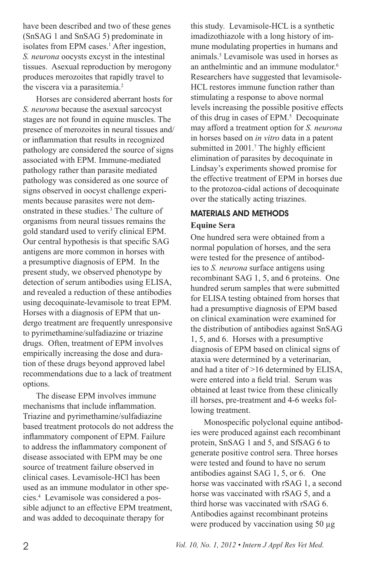have been described and two of these genes (SnSAG 1 and SnSAG 5) predominate in isolates from EPM cases.<sup>1</sup> After ingestion, *S. neurona* oocysts excyst in the intestinal tissues. Asexual reproduction by merogony produces merozoites that rapidly travel to the viscera via a parasitemia.<sup>2</sup>

Horses are considered aberrant hosts for *S. neurona* because the asexual sarcocyst stages are not found in equine muscles. The presence of merozoites in neural tissues and/ or inflammation that results in recognized pathology are considered the source of signs associated with EPM. Immune-mediated pathology rather than parasite mediated pathology was considered as one source of signs observed in oocyst challenge experiments because parasites were not demonstrated in these studies.3 The culture of organisms from neural tissues remains the gold standard used to verify clinical EPM. Our central hypothesis is that specific SAG antigens are more common in horses with a presumptive diagnosis of EPM. In the present study, we observed phenotype by detection of serum antibodies using ELISA, and revealed a reduction of these antibodies using decoquinate-levamisole to treat EPM. Horses with a diagnosis of EPM that undergo treatment are frequently unresponsive to pyrimethamine/sulfadiazine or triazine drugs. Often, treatment of EPM involves empirically increasing the dose and duration of these drugs beyond approved label recommendations due to a lack of treatment options.

The disease EPM involves immune mechanisms that include inflammation. Triazine and pyrimethamine/sulfadiazine based treatment protocols do not address the inflammatory component of EPM. Failure to address the inflammatory component of disease associated with EPM may be one source of treatment failure observed in clinical cases. Levamisole-HCl has been used as an immune modulator in other species.4 Levamisole was considered a possible adjunct to an effective EPM treatment, and was added to decoquinate therapy for

this study. Levamisole-HCL is a synthetic imadizothiazole with a long history of immune modulating properties in humans and animals.5 Levamisole was used in horses as an anthelmintic and an immune modulator.<sup>6</sup> Researchers have suggested that levamisole-HCL restores immune function rather than stimulating a response to above normal levels increasing the possible positive effects of this drug in cases of EPM.<sup>5</sup> Decoquinate may afford a treatment option for *S. neurona*  in horses based on *in vitro* data in a patent submitted in 2001.<sup>7</sup> The highly efficient elimination of parasites by decoquinate in Lindsay's experiments showed promise for the effective treatment of EPM in horses due to the protozoa-cidal actions of decoquinate over the statically acting triazines.

## MATERIALS AND METHODS

## **Equine Sera**

One hundred sera were obtained from a normal population of horses, and the sera were tested for the presence of antibodies to *S. neurona* surface antigens using recombinant SAG 1, 5, and 6 proteins. One hundred serum samples that were submitted for ELISA testing obtained from horses that had a presumptive diagnosis of EPM based on clinical examination were examined for the distribution of antibodies against SnSAG 1, 5, and 6. Horses with a presumptive diagnosis of EPM based on clinical signs of ataxia were determined by a veterinarian, and had a titer of >16 determined by ELISA, were entered into a field trial. Serum was obtained at least twice from these clinically ill horses, pre-treatment and 4-6 weeks following treatment.

Monospecific polyclonal equine antibodies were produced against each recombinant protein, SnSAG 1 and 5, and SfSAG 6 to generate positive control sera. Three horses were tested and found to have no serum antibodies against SAG 1, 5, or 6. One horse was vaccinated with rSAG 1, a second horse was vaccinated with rSAG 5, and a third horse was vaccinated with rSAG 6. Antibodies against recombinant proteins were produced by vaccination using 50 µg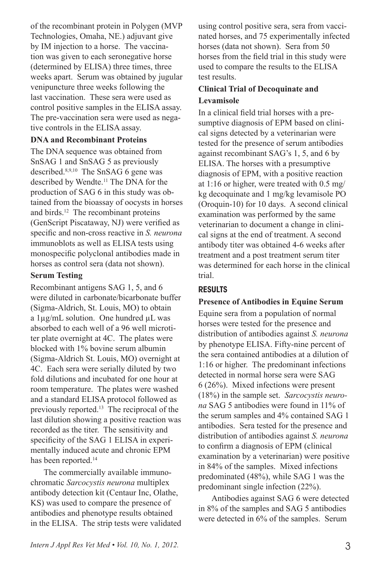of the recombinant protein in Polygen (MVP Technologies, Omaha, NE.) adjuvant give by IM injection to a horse. The vaccination was given to each seronegative horse (determined by ELISA) three times, three weeks apart. Serum was obtained by jugular venipuncture three weeks following the last vaccination. These sera were used as control positive samples in the ELISA assay. The pre-vaccination sera were used as negative controls in the ELISA assay.

## **DNA and Recombinant Proteins**

The DNA sequence was obtained from SnSAG 1 and SnSAG 5 as previously described.8,9,10 The SnSAG 6 gene was described by Wendte.<sup>11</sup> The DNA for the production of SAG 6 in this study was obtained from the bioassay of oocysts in horses and birds.12 The recombinant proteins (GenScript Piscataway, NJ) were verified as specific and non-cross reactive in *S. neurona*  immunoblots as well as ELISA tests using monospecific polyclonal antibodies made in horses as control sera (data not shown).

## **Serum Testing**

Recombinant antigens SAG 1, 5, and 6 were diluted in carbonate/bicarbonate buffer (Sigma-Aldrich, St. Louis, MO) to obtain a 1µg/mL solution. One hundred µL was absorbed to each well of a 96 well microtiter plate overnight at 4C. The plates were blocked with 1% bovine serum albumin (Sigma-Aldrich St. Louis, MO) overnight at 4C. Each sera were serially diluted by two fold dilutions and incubated for one hour at room temperature. The plates were washed and a standard ELISA protocol followed as previously reported.13 The reciprocal of the last dilution showing a positive reaction was recorded as the titer. The sensitivity and specificity of the SAG 1 ELISA in experimentally induced acute and chronic EPM has been reported.<sup>14</sup>

The commercially available immunochromatic *Sarcocystis neurona* multiplex antibody detection kit (Centaur Inc, Olathe, KS) was used to compare the presence of antibodies and phenotype results obtained in the ELISA. The strip tests were validated using control positive sera, sera from vaccinated horses, and 75 experimentally infected horses (data not shown). Sera from 50 horses from the field trial in this study were used to compare the results to the ELISA test results.

## **Clinical Trial of Decoquinate and Levamisole**

In a clinical field trial horses with a presumptive diagnosis of EPM based on clinical signs detected by a veterinarian were tested for the presence of serum antibodies against recombinant SAG's 1, 5, and 6 by ELISA. The horses with a presumptive diagnosis of EPM, with a positive reaction at 1:16 or higher, were treated with 0.5 mg/ kg decoquinate and 1 mg/kg levamisole PO (Oroquin-10) for 10 days. A second clinical examination was performed by the same veterinarian to document a change in clinical signs at the end of treatment. A second antibody titer was obtained 4-6 weeks after treatment and a post treatment serum titer was determined for each horse in the clinical trial.

# RESULTS

## **Presence of Antibodies in Equine Serum**

Equine sera from a population of normal horses were tested for the presence and distribution of antibodies against *S. neurona*  by phenotype ELISA. Fifty-nine percent of the sera contained antibodies at a dilution of 1:16 or higher. The predominant infections detected in normal horse sera were SAG 6 (26%). Mixed infections were present (18%) in the sample set. *Sarcocystis neurona* SAG 5 antibodies were found in 11% of the serum samples and 4% contained SAG 1 antibodies. Sera tested for the presence and distribution of antibodies against *S. neurona*  to confirm a diagnosis of EPM (clinical examination by a veterinarian) were positive in 84% of the samples. Mixed infections predominated (48%), while SAG 1 was the predominant single infection (22%).

Antibodies against SAG 6 were detected in 8% of the samples and SAG 5 antibodies were detected in 6% of the samples. Serum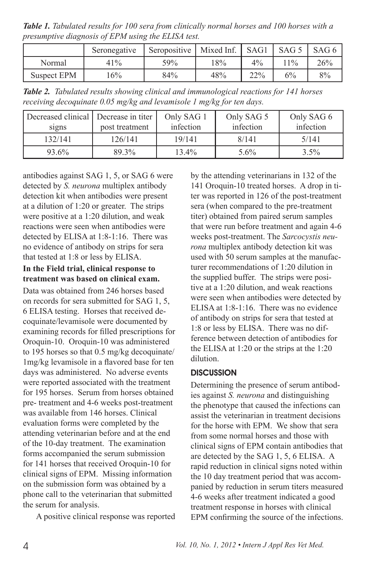*Table 1. Tabulated results for 100 sera from clinically normal horses and 100 horses with a presumptive diagnosis of EPM using the ELISA test.*

|             | Seronegative | Seropositive | Mixed Inf. | SAG1  | SAG <sub>5</sub> | SAG 6 |
|-------------|--------------|--------------|------------|-------|------------------|-------|
| Normal      | 41%          | 59%          | 18%        | $4\%$ | $11\%$           | 26%   |
| Suspect EPM | $6\%$        | 84%          | 48%        | 22%   | 6%               | 8%    |

*Table 2. Tabulated results showing clinical and immunological reactions for 141 horses receiving decoquinate 0.05 mg/kg and levamisole 1 mg/kg for ten days.*

| Decreased clinical Decrease in titer<br>signs | post treatment | Only SAG 1<br>infection | Only SAG 5<br>infection | Only SAG 6<br>infection |
|-----------------------------------------------|----------------|-------------------------|-------------------------|-------------------------|
| 132/141                                       | 126/141        | 19/141                  | 8/141                   | 5/141                   |
| 93.6%                                         | 89.3%          | $13.4\%$                | 5.6%                    | $3.5\%$                 |

antibodies against SAG 1, 5, or SAG 6 were detected by *S. neurona* multiplex antibody detection kit when antibodies were present at a dilution of 1:20 or greater. The strips were positive at a 1:20 dilution, and weak reactions were seen when antibodies were detected by ELISA at 1:8-1:16. There was no evidence of antibody on strips for sera that tested at 1:8 or less by ELISA.

## **In the Field trial, clinical response to treatment was based on clinical exam.**

Data was obtained from 246 horses based on records for sera submitted for SAG 1, 5, 6 ELISA testing. Horses that received decoquinate/levamisole were documented by examining records for filled prescriptions for Oroquin-10. Oroquin-10 was administered to 195 horses so that 0.5 mg/kg decoquinate/ 1mg/kg levamisole in a flavored base for ten days was administered. No adverse events were reported associated with the treatment for 195 horses. Serum from horses obtained pre- treatment and 4-6 weeks post-treatment was available from 146 horses. Clinical evaluation forms were completed by the attending veterinarian before and at the end of the 10-day treatment. The examination forms accompanied the serum submission for 141 horses that received Oroquin-10 for clinical signs of EPM. Missing information on the submission form was obtained by a phone call to the veterinarian that submitted the serum for analysis.

A positive clinical response was reported

by the attending veterinarians in 132 of the 141 Oroquin-10 treated horses. A drop in titer was reported in 126 of the post-treatment sera (when compared to the pre-treatment titer) obtained from paired serum samples that were run before treatment and again 4-6 weeks post-treatment. The *Sarcocystis neurona* multiplex antibody detection kit was used with 50 serum samples at the manufacturer recommendations of 1:20 dilution in the supplied buffer. The strips were positive at a 1:20 dilution, and weak reactions were seen when antibodies were detected by ELISA at 1:8-1:16. There was no evidence of antibody on strips for sera that tested at 1:8 or less by ELISA. There was no difference between detection of antibodies for the ELISA at 1:20 or the strips at the 1:20 dilution.

## **DISCUSSION**

Determining the presence of serum antibodies against *S. neurona* and distinguishing the phenotype that caused the infections can assist the veterinarian in treatment decisions for the horse with EPM. We show that sera from some normal horses and those with clinical signs of EPM contain antibodies that are detected by the SAG 1, 5, 6 ELISA. A rapid reduction in clinical signs noted within the 10 day treatment period that was accompanied by reduction in serum titers measured 4-6 weeks after treatment indicated a good treatment response in horses with clinical EPM confirming the source of the infections.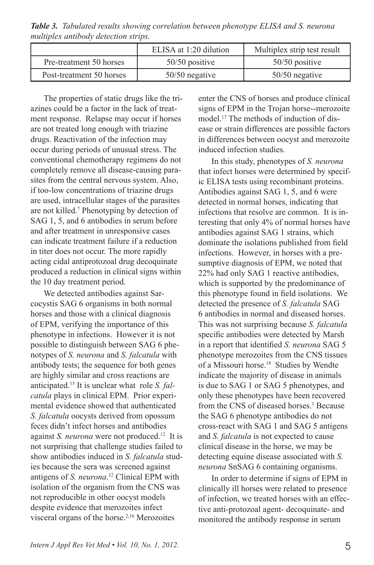*Table 3. Tabulated results showing correlation between phenotype ELISA and S. neurona multiplex antibody detection strips.*

|                          | ELISA at 1:20 dilution | Multiplex strip test result |
|--------------------------|------------------------|-----------------------------|
| Pre-treatment 50 horses  | $50/50$ positive       | $50/50$ positive            |
| Post-treatment 50 horses | $50/50$ negative       | $50/50$ negative            |

The properties of static drugs like the triazines could be a factor in the lack of treatment response. Relapse may occur if horses are not treated long enough with triazine drugs. Reactivation of the infection may occur during periods of unusual stress. The conventional chemotherapy regimens do not completely remove all disease-causing parasites from the central nervous system. Also, if too-low concentrations of triazine drugs are used, intracellular stages of the parasites are not killed.7 Phenotyping by detection of SAG 1, 5, and 6 antibodies in serum before and after treatment in unresponsive cases can indicate treatment failure if a reduction in titer does not occur. The more rapidly acting cidal antiprotozoal drug decoquinate produced a reduction in clinical signs within the 10 day treatment period.

We detected antibodies against Sarcocystis SAG 6 organisms in both normal horses and those with a clinical diagnosis of EPM, verifying the importance of this phenotype in infections. However it is not possible to distinguish between SAG 6 phenotypes of *S. neurona* and *S. falcatula* with antibody tests; the sequence for both genes are highly similar and cross reactions are anticipated.15 It is unclear what role *S. falcatula* plays in clinical EPM. Prior experimental evidence showed that authenticated *S. falcatula* oocysts derived from opossum feces didn't infect horses and antibodies against *S. neurona* were not produced.12 It is not surprising that challenge studies failed to show antibodies induced in *S. falcatula* studies because the sera was screened against antigens of *S. neurona*. 12 Clinical EPM with isolation of the organism from the CNS was not reproducible in other oocyst models despite evidence that merozoites infect visceral organs of the horse.2,16 Merozoites

enter the CNS of horses and produce clinical signs of EPM in the Trojan horse--merozoite model.17 The methods of induction of disease or strain differences are possible factors in differences between oocyst and merozoite induced infection studies.

In this study, phenotypes of *S. neurona*  that infect horses were determined by specific ELISA tests using recombinant proteins. Antibodies against SAG 1, 5, and 6 were detected in normal horses, indicating that infections that resolve are common. It is interesting that only 4% of normal horses have antibodies against SAG 1 strains, which dominate the isolations published from field infections. However, in horses with a presumptive diagnosis of EPM, we noted that 22% had only SAG 1 reactive antibodies, which is supported by the predominance of this phenotype found in field isolations. We detected the presence of *S. falcatula* SAG 6 antibodies in normal and diseased horses. This was not surprising because *S. falcatula* specific antibodies were detected by Marsh in a report that identified *S. neurona* SAG 5 phenotype merozoites from the CNS tissues of a Missouri horse.18 Studies by Wendte indicate the majority of disease in animals is due to SAG 1 or SAG 5 phenotypes, and only these phenotypes have been recovered from the CNS of diseased horses.<sup>1</sup> Because the SAG 6 phenotype antibodies do not cross-react with SAG 1 and SAG 5 antigens and *S. falcatula* is not expected to cause clinical disease in the horse, we may be detecting equine disease associated with *S. neurona* SnSAG 6 containing organisms.

In order to determine if signs of EPM in clinically ill horses were related to presence of infection, we treated horses with an effective anti-protozoal agent- decoquinate- and monitored the antibody response in serum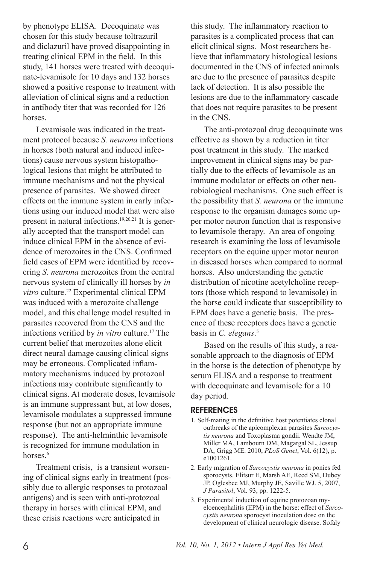by phenotype ELISA. Decoquinate was chosen for this study because toltrazuril and diclazuril have proved disappointing in treating clinical EPM in the field. In this study, 141 horses were treated with decoquinate-levamisole for 10 days and 132 horses showed a positive response to treatment with alleviation of clinical signs and a reduction in antibody titer that was recorded for 126 horses.

Levamisole was indicated in the treatment protocol because *S. neurona* infections in horses (both natural and induced infections) cause nervous system histopathological lesions that might be attributed to immune mechanisms and not the physical presence of parasites. We showed direct effects on the immune system in early infections using our induced model that were also present in natural infections.19,20,21 It is generally accepted that the transport model can induce clinical EPM in the absence of evidence of merozoites in the CNS. Confirmed field cases of EPM were identified by recovering *S. neurona* merozoites from the central nervous system of clinically ill horses by *in vitro* culture.22 Experimental clinical EPM was induced with a merozoite challenge model, and this challenge model resulted in parasites recovered from the CNS and the infections verified by *in vitro* culture.<sup>17</sup> The current belief that merozoites alone elicit direct neural damage causing clinical signs may be erroneous. Complicated inflammatory mechanisms induced by protozoal infections may contribute significantly to clinical signs. At moderate doses, levamisole is an immune suppressant but, at low doses, levamisole modulates a suppressed immune response (but not an appropriate immune response). The anti-helminthic levamisole is recognized for immune modulation in horses.<sup>6</sup>

Treatment crisis, is a transient worsening of clinical signs early in treatment (possibly due to allergic responses to protozoal antigens) and is seen with anti-protozoal therapy in horses with clinical EPM, and these crisis reactions were anticipated in

this study. The inflammatory reaction to parasites is a complicated process that can elicit clinical signs. Most researchers believe that inflammatory histological lesions documented in the CNS of infected animals are due to the presence of parasites despite lack of detection. It is also possible the lesions are due to the inflammatory cascade that does not require parasites to be present in the CNS.

The anti-protozoal drug decoquinate was effective as shown by a reduction in titer post treatment in this study. The marked improvement in clinical signs may be partially due to the effects of levamisole as an immune modulator or effects on other neurobiological mechanisms. One such effect is the possibility that *S. neurona* or the immune response to the organism damages some upper motor neuron function that is responsive to levamisole therapy. An area of ongoing research is examining the loss of levamisole receptors on the equine upper motor neuron in diseased horses when compared to normal horses. Also understanding the genetic distribution of nicotine acetylcholine receptors (those which respond to levamisole) in the horse could indicate that susceptibility to EPM does have a genetic basis. The presence of these receptors does have a genetic basis in *C. elegans*. 5

Based on the results of this study, a reasonable approach to the diagnosis of EPM in the horse is the detection of phenotype by serum ELISA and a response to treatment with decoquinate and levamisole for a 10 day period.

#### **REFERENCES**

- 1. Self-mating in the definitive host potentiates clonal outbreaks of the apicomplexan parasites *Sarcocystis neurona* and Toxoplasma gondii. Wendte JM, Miller MA, Lambourn DM, Magargal SL, Jessup DA, Grigg ME. 2010, *PLoS Genet*, Vol. 6(12), p. e1001261.
- 2. Early migration of *Sarcocystis neurona* in ponies fed sporocysts. Elitsur E, Marsh AE, Reed SM, Dubey JP, Oglesbee MJ, Murphy JE, Saville WJ. 5, 2007, *J Parasitol*, Vol. 93, pp. 1222-5.
- 3. Experimental induction of equine protozoan myeloencephalitis (EPM) in the horse: effect of *Sarcocystis neurona* sporocyst inoculation dose on the development of clinical neurologic disease. Sofaly